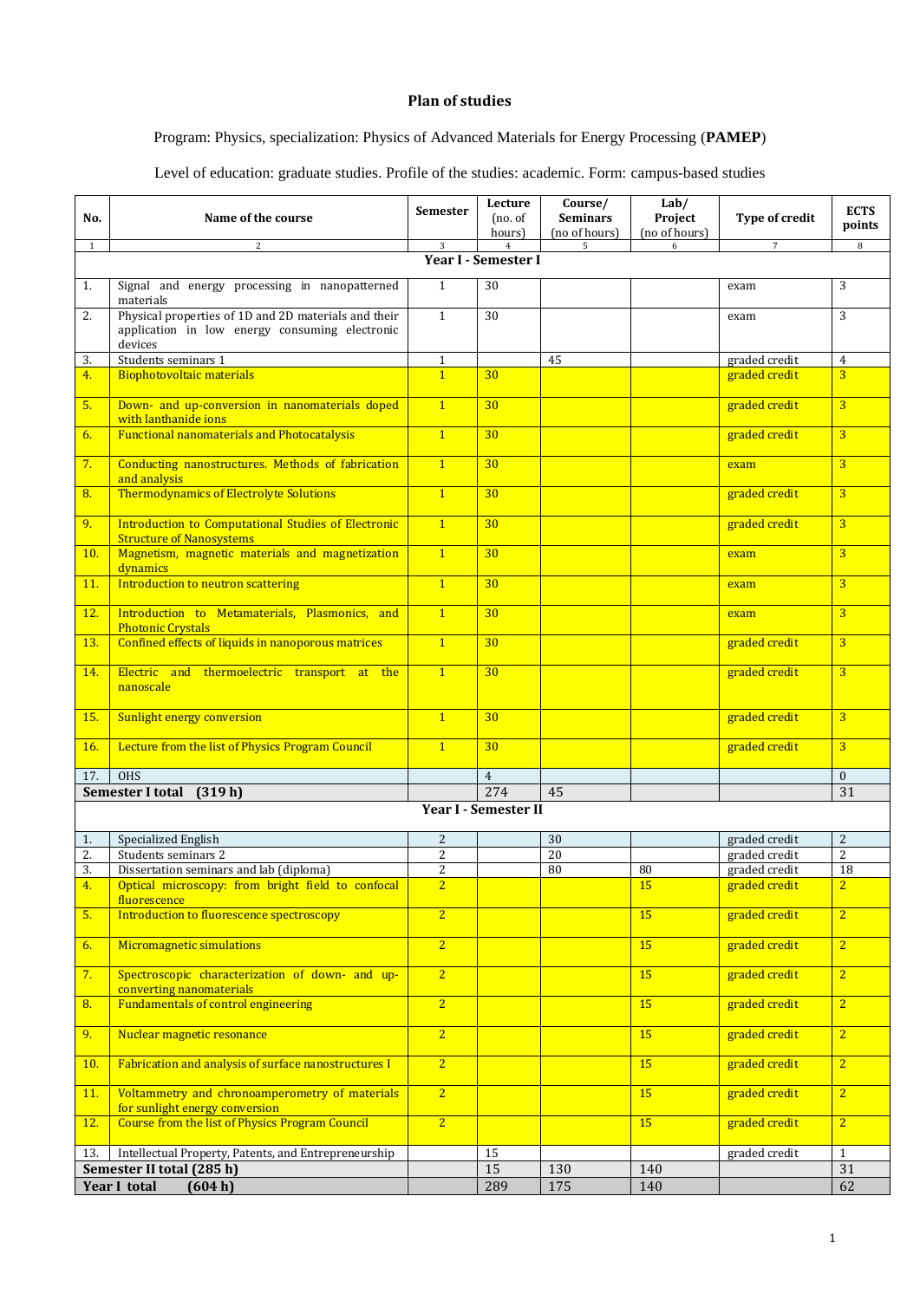## **Plan of studies**

## Program: Physics, specialization: Physics of Advanced Materials for Energy Processing (**PAMEP**)

Level of education: graduate studies. Profile of the studies: academic. Form: campus-based studies

| No.                     | Name of the course                                                                                                | <b>Semester</b> | Lecture<br>(no. of<br>hours) | Course/<br><b>Seminars</b><br>(no of hours) | Lab/<br>Project<br>(no of hours) | Type of credit | <b>ECTS</b><br>points |  |  |  |  |
|-------------------------|-------------------------------------------------------------------------------------------------------------------|-----------------|------------------------------|---------------------------------------------|----------------------------------|----------------|-----------------------|--|--|--|--|
| 1                       | 2                                                                                                                 | 3               | $\overline{4}$               | 5                                           | 6                                | 7              | 8                     |  |  |  |  |
| Year I - Semester I     |                                                                                                                   |                 |                              |                                             |                                  |                |                       |  |  |  |  |
| 1.                      | Signal and energy processing in nanopatterned<br>materials                                                        | $\mathbf{1}$    | 30                           |                                             |                                  | exam           | 3                     |  |  |  |  |
| 2.                      | Physical properties of 1D and 2D materials and their<br>application in low energy consuming electronic<br>devices | $\mathbf{1}$    | 30                           |                                             |                                  | exam           | 3                     |  |  |  |  |
| 3.                      | Students seminars 1                                                                                               | $\mathbf{1}$    |                              | 45                                          |                                  | graded credit  | $\overline{4}$        |  |  |  |  |
| 4.                      | Biophotovoltaic materials                                                                                         | $\overline{1}$  | 30                           |                                             |                                  | graded credit  | $\overline{3}$        |  |  |  |  |
| 5.                      | Down- and up-conversion in nanomaterials doped<br>with lanthanide ions                                            | $\mathbf{1}$    | 30                           |                                             |                                  | graded credit  | $\overline{3}$        |  |  |  |  |
| 6.                      | <b>Functional nanomaterials and Photocatalysis</b>                                                                | $\overline{1}$  | 30                           |                                             |                                  | graded credit  | $\overline{3}$        |  |  |  |  |
| 7.                      | Conducting nanostructures. Methods of fabrication<br>and analysis                                                 | $\overline{1}$  | 30                           |                                             |                                  | exam           | $\overline{3}$        |  |  |  |  |
| 8.                      | <b>Thermodynamics of Electrolyte Solutions</b>                                                                    | $\mathbf{1}$    | 30                           |                                             |                                  | graded credit  | $\overline{3}$        |  |  |  |  |
| 9.                      | Introduction to Computational Studies of Electronic<br><b>Structure of Nanosystems</b>                            | $\overline{1}$  | 30                           |                                             |                                  | graded credit  | $\overline{3}$        |  |  |  |  |
| 10.                     | Magnetism, magnetic materials and magnetization<br>dynamics                                                       | $\overline{1}$  | 30                           |                                             |                                  | exam           | $\overline{3}$        |  |  |  |  |
| 11.                     | Introduction to neutron scattering                                                                                | $\overline{1}$  | 30                           |                                             |                                  | exam           | $\overline{3}$        |  |  |  |  |
| 12.                     | Introduction to Metamaterials, Plasmonics, and<br><b>Photonic Crystals</b>                                        | $\mathbf{1}$    | 30                           |                                             |                                  | exam           | 3                     |  |  |  |  |
| 13.                     | Confined effects of liquids in nanoporous matrices                                                                | $\overline{1}$  | 30                           |                                             |                                  | graded credit  | 3                     |  |  |  |  |
| 14.                     | Electric and thermoelectric transport at the<br>nanoscale                                                         | $\overline{1}$  | 30                           |                                             |                                  | graded credit  | $\overline{3}$        |  |  |  |  |
| 15.                     | Sunlight energy conversion                                                                                        | $\overline{1}$  | 30                           |                                             |                                  | graded credit  | 3                     |  |  |  |  |
| 16.                     | Lecture from the list of Physics Program Council                                                                  | $\overline{1}$  | 30                           |                                             |                                  | graded credit  | $\overline{3}$        |  |  |  |  |
| 17.                     | <b>OHS</b>                                                                                                        |                 | $\overline{4}$               |                                             |                                  |                | $\mathbf{0}$          |  |  |  |  |
|                         | Semester I total<br>(319h)                                                                                        |                 | 274                          | 45                                          |                                  |                | 31                    |  |  |  |  |
|                         |                                                                                                                   |                 | Year I - Semester II         |                                             |                                  |                |                       |  |  |  |  |
| 1.                      | Specialized English                                                                                               | $\overline{2}$  |                              | 30                                          |                                  | graded credit  | $\overline{2}$        |  |  |  |  |
| 2.                      | Students seminars 2                                                                                               | 2               |                              | 20                                          |                                  | graded credit  | $\overline{2}$        |  |  |  |  |
| 3.                      | Dissertation seminars and lab (diploma)                                                                           | $\overline{2}$  |                              | 80                                          | 80                               | graded credit  | 18                    |  |  |  |  |
| <u>4.</u>               | Optical microscopy: from bright field to confocal<br>fluorescence                                                 | $\overline{2}$  |                              |                                             | 15                               | graded credit  | $\mathbf{z}$          |  |  |  |  |
| 5.                      | Introduction to fluorescence spectroscopy                                                                         | $\overline{2}$  |                              |                                             | 15                               | graded credit  | $\overline{2}$        |  |  |  |  |
| 6.                      | Micromagnetic simulations                                                                                         | $\overline{2}$  |                              |                                             | 15                               | graded credit  | $\overline{2}$        |  |  |  |  |
| 7.                      | Spectroscopic characterization of down- and up-<br>converting nanomaterials                                       | $\overline{2}$  |                              |                                             | 15                               | graded credit  | $\overline{2}$        |  |  |  |  |
| 8.                      | <b>Fundamentals of control engineering</b>                                                                        | $\overline{2}$  |                              |                                             | 15                               | graded credit  | $\overline{2}$        |  |  |  |  |
| 9.                      | Nuclear magnetic resonance                                                                                        | $\overline{2}$  |                              |                                             | 15                               | graded credit  | $\overline{2}$        |  |  |  |  |
| 10.                     | Fabrication and analysis of surface nanostructures I                                                              | 2 <sup>2</sup>  |                              |                                             | 15                               | graded credit  | $\overline{2}$        |  |  |  |  |
| 11.                     | Voltammetry and chronoamperometry of materials<br>for sunlight energy conversion                                  | $\overline{2}$  |                              |                                             | 15                               | graded credit  | $\overline{2}$        |  |  |  |  |
| 12.                     | <b>Course from the list of Physics Program Council</b>                                                            | $\overline{2}$  |                              |                                             | 15                               | graded credit  | $\overline{2}$        |  |  |  |  |
| 13.                     | Intellectual Property, Patents, and Entrepreneurship                                                              |                 | 15                           |                                             |                                  | graded credit  | $\mathbf{1}$          |  |  |  |  |
|                         | Semester II total (285 h)                                                                                         |                 | 15                           | 130                                         | 140                              |                | 31                    |  |  |  |  |
| Year I total<br>(604 h) |                                                                                                                   |                 | 289                          | 175                                         | 140                              |                | 62                    |  |  |  |  |